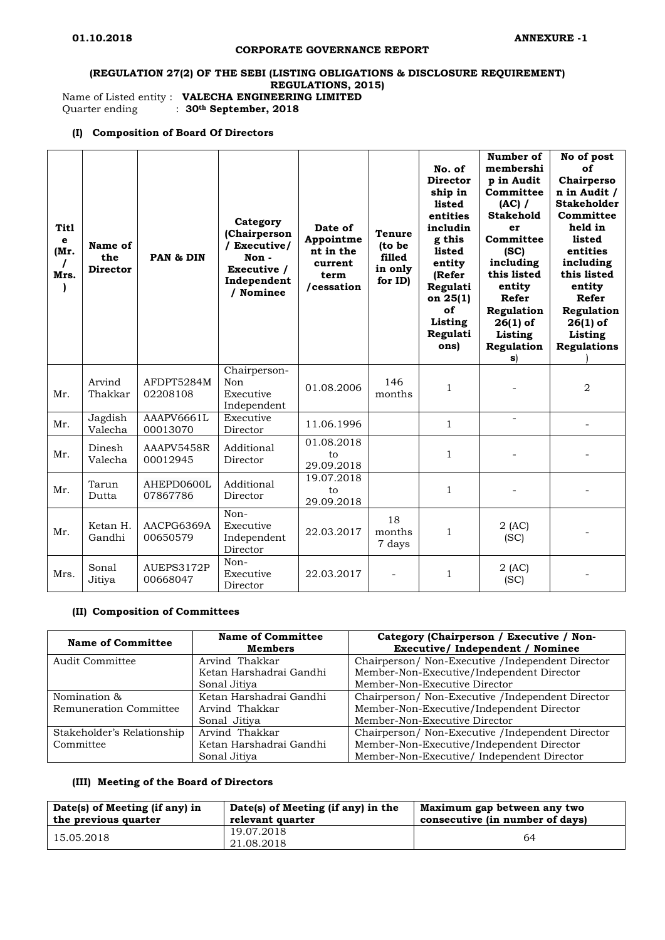#### **CORPORATE GOVERNANCE REPORT**

# **(REGULATION 27(2) OF THE SEBI (LISTING OBLIGATIONS & DISCLOSURE REQUIREMENT) REGULATIONS, 2015)**

Name of Listed entity : **VALECHA ENGINEERING LIMITED**<br>Quarter ending : 30<sup>th</sup> September, 2018

 $\therefore$  30<sup>th</sup> September, 2018

#### **(I) Composition of Board Of Directors**

| <b>Titl</b><br>e<br>(Mr.<br>Mrs. | Name of<br>the<br><b>Director</b> | PAN & DIN              | Category<br>(Chairperson<br>/ Executive/<br>Non-<br>Executive /<br>Independent<br>/ Nominee | Date of<br>Appointme<br>nt in the<br>current<br>term<br>/cessation | <b>Tenure</b><br>(to be<br>filled<br>in only<br>for ID) | No. of<br><b>Director</b><br>ship in<br>listed<br>entities<br>includin<br>g this<br>listed<br>entity<br>(Refer<br>Regulati<br>on $25(1)$<br>оf<br>Listing<br>Regulati<br>ons) | Number of<br>membershi<br>p in Audit<br>Committee<br>$(AC)$ /<br><b>Stakehold</b><br>er<br>Committee<br>(SC)<br>including<br>this listed<br>entity<br>Refer<br>Regulation<br>$26(1)$ of<br>Listing<br>Regulation<br>s) | No of post<br>იf<br>Chairperso<br>n in Audit /<br><b>Stakeholder</b><br>Committee<br>held in<br>listed<br>entities<br>including<br>this listed<br>entity<br>Refer<br>Regulation<br>$26(1)$ of<br>Listing<br><b>Regulations</b> |
|----------------------------------|-----------------------------------|------------------------|---------------------------------------------------------------------------------------------|--------------------------------------------------------------------|---------------------------------------------------------|-------------------------------------------------------------------------------------------------------------------------------------------------------------------------------|------------------------------------------------------------------------------------------------------------------------------------------------------------------------------------------------------------------------|--------------------------------------------------------------------------------------------------------------------------------------------------------------------------------------------------------------------------------|
| Mr.                              | Arvind<br>Thakkar                 | AFDPT5284M<br>02208108 | Chairperson-<br>Non<br>Executive<br>Independent                                             | 01.08.2006                                                         | 146<br>months                                           | 1                                                                                                                                                                             |                                                                                                                                                                                                                        | $\overline{2}$                                                                                                                                                                                                                 |
| Mr.                              | Jagdish<br>Valecha                | AAAPV6661L<br>00013070 | Executive<br>Director                                                                       | 11.06.1996                                                         |                                                         | $\mathbf{1}$                                                                                                                                                                  | $\overline{a}$                                                                                                                                                                                                         |                                                                                                                                                                                                                                |
| Mr.                              | Dinesh<br>Valecha                 | AAAPV5458R<br>00012945 | Additional<br>Director                                                                      | 01.08.2018<br>to<br>29.09.2018                                     |                                                         | $\mathbf{1}$                                                                                                                                                                  |                                                                                                                                                                                                                        |                                                                                                                                                                                                                                |
| Mr.                              | Tarun<br>Dutta                    | AHEPD0600L<br>07867786 | Additional<br>Director                                                                      | 19.07.2018<br>to<br>29.09.2018                                     |                                                         | $\mathbf{1}$                                                                                                                                                                  |                                                                                                                                                                                                                        |                                                                                                                                                                                                                                |
| Mr.                              | Ketan H.<br>Gandhi                | AACPG6369A<br>00650579 | Non-<br>Executive<br>Independent<br>Director                                                | 22.03.2017                                                         | 18<br>months<br>7 days                                  | $\mathbf{1}$                                                                                                                                                                  | $2$ (AC)<br>(SC)                                                                                                                                                                                                       |                                                                                                                                                                                                                                |
| Mrs.                             | Sonal<br>Jitiya                   | AUEPS3172P<br>00668047 | Non-<br>Executive<br>Director                                                               | 22.03.2017                                                         |                                                         | $\mathbf{1}$                                                                                                                                                                  | $2$ (AC)<br>(SC)                                                                                                                                                                                                       |                                                                                                                                                                                                                                |

## **(II) Composition of Committees**

| <b>Name of Committee</b>   | <b>Name of Committee</b><br><b>Members</b> | Category (Chairperson / Executive / Non-<br>Executive/Independent / Nominee |  |
|----------------------------|--------------------------------------------|-----------------------------------------------------------------------------|--|
| Audit Committee            | Arvind Thakkar                             | Chairperson/ Non-Executive /Independent Director                            |  |
|                            | Ketan Harshadrai Gandhi                    | Member-Non-Executive/Independent Director                                   |  |
|                            | Sonal Jitiya                               | Member-Non-Executive Director                                               |  |
| Nomination &               | Ketan Harshadrai Gandhi                    | Chairperson/ Non-Executive / Independent Director                           |  |
| Remuneration Committee     | Arvind Thakkar                             | Member-Non-Executive/Independent Director                                   |  |
|                            | Sonal Jitiya                               | Member-Non-Executive Director                                               |  |
| Stakeholder's Relationship | Arvind Thakkar                             | Chairperson/ Non-Executive / Independent Director                           |  |
| Committee                  | Ketan Harshadrai Gandhi                    | Member-Non-Executive/Independent Director                                   |  |
|                            | Sonal Jitiya                               | Member-Non-Executive/ Independent Director                                  |  |

## **(III) Meeting of the Board of Directors**

| Date(s) of Meeting (if any) in | Date(s) of Meeting (if any) in the | Maximum gap between any two     |
|--------------------------------|------------------------------------|---------------------------------|
| the previous quarter           | relevant quarter                   | consecutive (in number of days) |
| 15.05.2018                     | 19.07.2018<br>21.08.2018           | 64                              |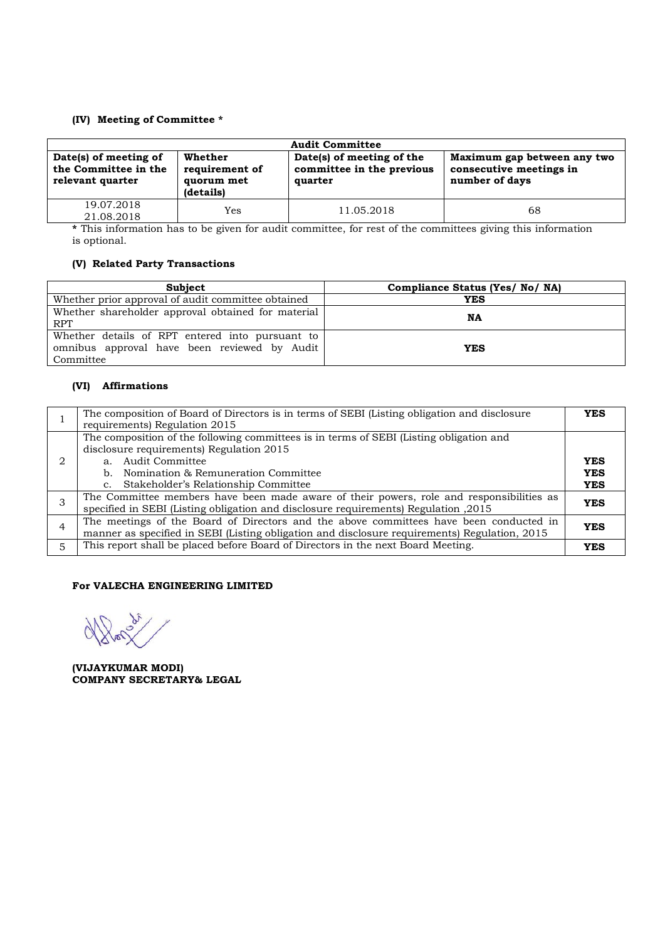## **(IV) Meeting of Committee \***

| <b>Audit Committee</b>                                            |                                                      |                                                                   |                                                                          |  |  |
|-------------------------------------------------------------------|------------------------------------------------------|-------------------------------------------------------------------|--------------------------------------------------------------------------|--|--|
| Date(s) of meeting of<br>the Committee in the<br>relevant quarter | Whether<br>requirement of<br>quorum met<br>(details) | Date(s) of meeting of the<br>committee in the previous<br>quarter | Maximum gap between any two<br>consecutive meetings in<br>number of days |  |  |
| 19.07.2018<br>21.08.2018                                          | Yes                                                  | 11.05.2018                                                        | 68                                                                       |  |  |

**\*** This information has to be given for audit committee, for rest of the committees giving this information is optional.

## **(V) Related Party Transactions**

| <b>Subject</b>                                                                                               | Compliance Status (Yes/ No/ NA) |
|--------------------------------------------------------------------------------------------------------------|---------------------------------|
| Whether prior approval of audit committee obtained                                                           | <b>YES</b>                      |
| Whether shareholder approval obtained for material<br><b>RPT</b>                                             | NA                              |
| Whether details of RPT entered into pursuant to<br>omnibus approval have been reviewed by Audit<br>Committee | <b>YES</b>                      |

# **(VI) Affirmations**

|   | The composition of Board of Directors is in terms of SEBI (Listing obligation and disclosure<br>requirements) Regulation 2015                                                                                                                              | <b>YES</b>                             |
|---|------------------------------------------------------------------------------------------------------------------------------------------------------------------------------------------------------------------------------------------------------------|----------------------------------------|
|   | The composition of the following committees is in terms of SEBI (Listing obligation and<br>disclosure requirements) Regulation 2015<br>a. Audit Committee<br>b. Nomination & Remuneration Committee<br>Stakeholder's Relationship Committee<br>$c_{\cdot}$ | <b>YES</b><br><b>YES</b><br><b>YES</b> |
|   | The Committee members have been made aware of their powers, role and responsibilities as<br>2015, specified in SEBI (Listing obligation and disclosure requirements) Regulation                                                                            | <b>YES</b>                             |
|   | The meetings of the Board of Directors and the above committees have been conducted in<br>manner as specified in SEBI (Listing obligation and disclosure requirements) Regulation, 2015                                                                    | <b>YES</b>                             |
| 5 | This report shall be placed before Board of Directors in the next Board Meeting.                                                                                                                                                                           | YES                                    |

#### **For VALECHA ENGINEERING LIMITED**

 $\delta_{\tilde{\ell}}$  $\alpha$ 

**(VIJAYKUMAR MODI) COMPANY SECRETARY& LEGAL**